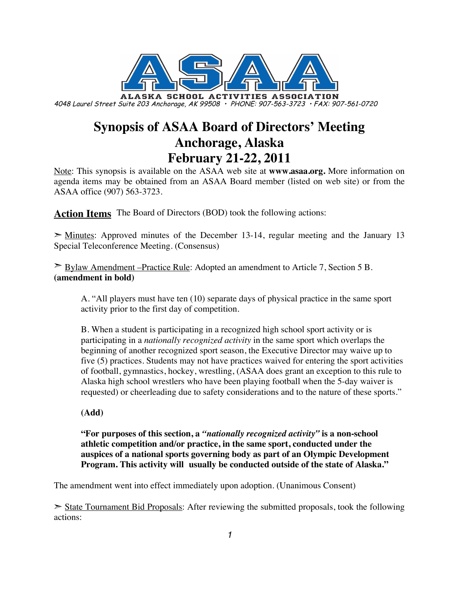

# **Synopsis of ASAA Board of Directors' Meeting Anchorage, Alaska February 21-22, 2011**

Note: This synopsis is available on the ASAA web site at **www.asaa.org.** More information on agenda items may be obtained from an ASAA Board member (listed on web site) or from the ASAA office (907) 563-3723.

**Action Items** The Board of Directors (BOD) took the following actions:

 $\geq$  Minutes: Approved minutes of the December 13-14, regular meeting and the January 13 Special Teleconference Meeting. (Consensus)

 $\geq$  Bylaw Amendment –Practice Rule: Adopted an amendment to Article 7, Section 5 B. **(amendment in bold)**

A. "All players must have ten (10) separate days of physical practice in the same sport activity prior to the first day of competition.

B. When a student is participating in a recognized high school sport activity or is participating in a *nationally recognized activity* in the same sport which overlaps the beginning of another recognized sport season, the Executive Director may waive up to five (5) practices. Students may not have practices waived for entering the sport activities of football, gymnastics, hockey, wrestling, (ASAA does grant an exception to this rule to Alaska high school wrestlers who have been playing football when the 5-day waiver is requested) or cheerleading due to safety considerations and to the nature of these sports."

**(Add)**

**"For purposes of this section, a** *"nationally recognized activity"* **is a non-school athletic competition and/or practice, in the same sport, conducted under the auspices of a national sports governing body as part of an Olympic Development Program. This activity will usually be conducted outside of the state of Alaska."**

The amendment went into effect immediately upon adoption. (Unanimous Consent)

 $\geq$  State Tournament Bid Proposals: After reviewing the submitted proposals, took the following actions: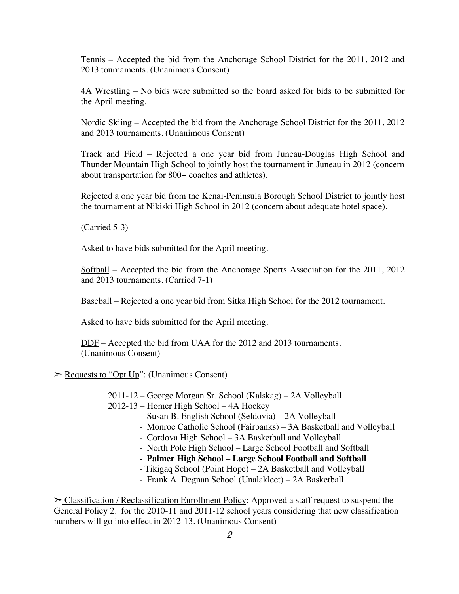Tennis – Accepted the bid from the Anchorage School District for the 2011, 2012 and 2013 tournaments. (Unanimous Consent)

4A Wrestling – No bids were submitted so the board asked for bids to be submitted for the April meeting.

Nordic Skiing – Accepted the bid from the Anchorage School District for the 2011, 2012 and 2013 tournaments. (Unanimous Consent)

Track and Field – Rejected a one year bid from Juneau-Douglas High School and Thunder Mountain High School to jointly host the tournament in Juneau in 2012 (concern about transportation for 800+ coaches and athletes).

Rejected a one year bid from the Kenai-Peninsula Borough School District to jointly host the tournament at Nikiski High School in 2012 (concern about adequate hotel space).

(Carried 5-3)

Asked to have bids submitted for the April meeting.

Softball – Accepted the bid from the Anchorage Sports Association for the 2011, 2012 and 2013 tournaments. (Carried 7-1)

Baseball – Rejected a one year bid from Sitka High School for the 2012 tournament.

Asked to have bids submitted for the April meeting.

DDF – Accepted the bid from UAA for the 2012 and 2013 tournaments. (Unanimous Consent)

 $\geq$  Requests to "Opt Up": (Unanimous Consent)

2011-12 – George Morgan Sr. School (Kalskag) – 2A Volleyball

2012-13 – Homer High School – 4A Hockey

- Susan B. English School (Seldovia) 2A Volleyball
- Monroe Catholic School (Fairbanks) 3A Basketball and Volleyball
- Cordova High School 3A Basketball and Volleyball
- North Pole High School Large School Football and Softball
- **Palmer High School Large School Football and Softball**
- Tikigaq School (Point Hope) 2A Basketball and Volleyball
- Frank A. Degnan School (Unalakleet) 2A Basketball

 $\geq$  Classification / Reclassification Enrollment Policy: Approved a staff request to suspend the General Policy 2. for the 2010-11 and 2011-12 school years considering that new classification numbers will go into effect in 2012-13. (Unanimous Consent)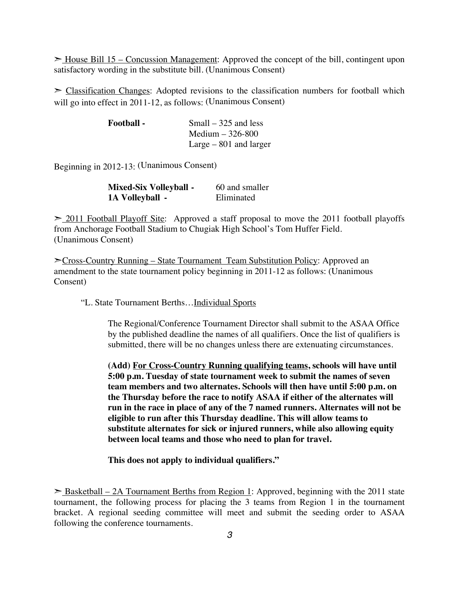► House Bill 15 – Concussion Management: Approved the concept of the bill, contingent upon satisfactory wording in the substitute bill. (Unanimous Consent)

 $\geq$  Classification Changes: Adopted revisions to the classification numbers for football which will go into effect in 2011-12, as follows: (Unanimous Consent)

| <b>Football</b> - | Small $-325$ and less   |
|-------------------|-------------------------|
|                   | Medium $-326-800$       |
|                   | Large $-801$ and larger |

Beginning in 2012-13: (Unanimous Consent)

| <b>Mixed-Six Volleyball -</b> | 60 and smaller |
|-------------------------------|----------------|
| 1A Volleyball -               | Eliminated     |

 $\geq$  2011 Football Playoff Site: Approved a staff proposal to move the 2011 football playoffs from Anchorage Football Stadium to Chugiak High School's Tom Huffer Field. (Unanimous Consent)

➣Cross-Country Running – State Tournament Team Substitution Policy: Approved an amendment to the state tournament policy beginning in 2011-12 as follows: (Unanimous Consent)

"L. State Tournament Berths…Individual Sports

The Regional/Conference Tournament Director shall submit to the ASAA Office by the published deadline the names of all qualifiers. Once the list of qualifiers is submitted, there will be no changes unless there are extenuating circumstances.

**(Add) For Cross-Country Running qualifying teams, schools will have until 5:00 p.m. Tuesday of state tournament week to submit the names of seven team members and two alternates. Schools will then have until 5:00 p.m. on the Thursday before the race to notify ASAA if either of the alternates will run in the race in place of any of the 7 named runners. Alternates will not be eligible to run after this Thursday deadline. This will allow teams to substitute alternates for sick or injured runners, while also allowing equity between local teams and those who need to plan for travel.**

**This does not apply to individual qualifiers."**

 $\geq$  Basketball – 2A Tournament Berths from Region 1: Approved, beginning with the 2011 state tournament, the following process for placing the 3 teams from Region 1 in the tournament bracket. A regional seeding committee will meet and submit the seeding order to ASAA following the conference tournaments.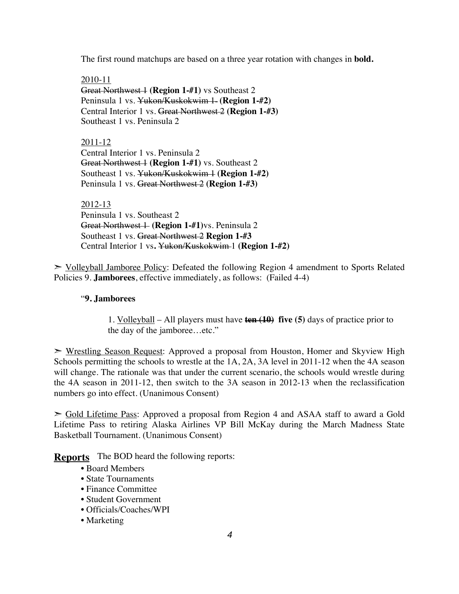The first round matchups are based on a three year rotation with changes in **bold.**

2010-11 Great Northwest 1 **(Region 1-#1)** vs Southeast 2 Peninsula 1 vs. Yukon/Kuskokwim 1- (Region 1-#2) Central Interior 1 vs. Great Northwest 2 **(Region 1-#3)** Southeast 1 vs. Peninsula 2

2011-12 Central Interior 1 vs. Peninsula 2 Great Northwest 1 (Region 1-#1) vs. Southeast 2 Southeast 1 vs. Yukon/Kuskokwim 1 **(Region 1-#2)** Peninsula 1 vs. Great Northwest 2 **(Region 1-#3)**

2012-13

Peninsula 1 vs. Southeast 2 Great Northwest 1 (Region 1-#1)vs. Peninsula 2 Southeast 1 vs. Great Northwest 2 **Region 1-#3** Central Interior 1 vs**.** Yukon/Kuskokwim 1 **(Region 1-#2)**

➣ Volleyball Jamboree Policy: Defeated the following Region 4 amendment to Sports Related Policies 9. **Jamborees**, effective immediately, as follows: (Failed 4-4)

#### "**9. Jamborees**

1. Volleyball – All players must have **ten (10) five (5)** days of practice prior to the day of the jamboree…etc."

➣ Wrestling Season Request: Approved a proposal from Houston, Homer and Skyview High Schools permitting the schools to wrestle at the 1A, 2A, 3A level in 2011-12 when the 4A season will change. The rationale was that under the current scenario, the schools would wrestle during the 4A season in 2011-12, then switch to the 3A season in 2012-13 when the reclassification numbers go into effect. (Unanimous Consent)

➣ Gold Lifetime Pass: Approved a proposal from Region 4 and ASAA staff to award a Gold Lifetime Pass to retiring Alaska Airlines VP Bill McKay during the March Madness State Basketball Tournament. (Unanimous Consent)

**Reports** The BOD heard the following reports:

- Board Members
- State Tournaments
- Finance Committee
- Student Government
- Officials/Coaches/WPI
- Marketing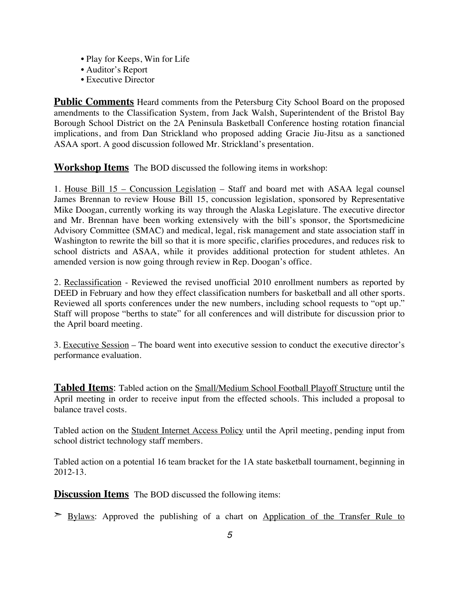- Play for Keeps, Win for Life
- Auditor's Report
- Executive Director

**Public Comments** Heard comments from the Petersburg City School Board on the proposed amendments to the Classification System, from Jack Walsh, Superintendent of the Bristol Bay Borough School District on the 2A Peninsula Basketball Conference hosting rotation financial implications, and from Dan Strickland who proposed adding Gracie Jiu-Jitsu as a sanctioned ASAA sport. A good discussion followed Mr. Strickland's presentation.

**Workshop Items** The BOD discussed the following items in workshop:

1. House Bill 15 – Concussion Legislation – Staff and board met with ASAA legal counsel James Brennan to review House Bill 15, concussion legislation, sponsored by Representative Mike Doogan, currently working its way through the Alaska Legislature. The executive director and Mr. Brennan have been working extensively with the bill's sponsor, the Sportsmedicine Advisory Committee (SMAC) and medical, legal, risk management and state association staff in Washington to rewrite the bill so that it is more specific, clarifies procedures, and reduces risk to school districts and ASAA, while it provides additional protection for student athletes. An amended version is now going through review in Rep. Doogan's office.

2. Reclassification - Reviewed the revised unofficial 2010 enrollment numbers as reported by DEED in February and how they effect classification numbers for basketball and all other sports. Reviewed all sports conferences under the new numbers, including school requests to "opt up." Staff will propose "berths to state" for all conferences and will distribute for discussion prior to the April board meeting.

3. Executive Session – The board went into executive session to conduct the executive director's performance evaluation.

**Tabled Items**: Tabled action on the Small/Medium School Football Playoff Structure until the April meeting in order to receive input from the effected schools. This included a proposal to balance travel costs.

Tabled action on the Student Internet Access Policy until the April meeting, pending input from school district technology staff members.

Tabled action on a potential 16 team bracket for the 1A state basketball tournament, beginning in 2012-13.

**Discussion Items** The BOD discussed the following items:

**Evlaws:** Approved the publishing of a chart on Application of the Transfer Rule to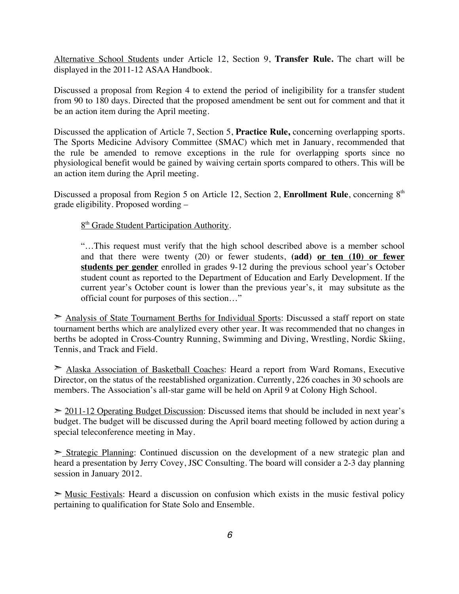Alternative School Students under Article 12, Section 9, **Transfer Rule.** The chart will be displayed in the 2011-12 ASAA Handbook.

Discussed a proposal from Region 4 to extend the period of ineligibility for a transfer student from 90 to 180 days. Directed that the proposed amendment be sent out for comment and that it be an action item during the April meeting.

Discussed the application of Article 7, Section 5, **Practice Rule,** concerning overlapping sports. The Sports Medicine Advisory Committee (SMAC) which met in January, recommended that the rule be amended to remove exceptions in the rule for overlapping sports since no physiological benefit would be gained by waiving certain sports compared to others. This will be an action item during the April meeting.

Discussed a proposal from Region 5 on Article 12, Section 2, **Enrollment Rule**, concerning 8<sup>th</sup> grade eligibility. Proposed wording –

8<sup>th</sup> Grade Student Participation Authority.

"…This request must verify that the high school described above is a member school and that there were twenty (20) or fewer students, **(add) or ten (10) or fewer students per gender** enrolled in grades 9-12 during the previous school year's October student count as reported to the Department of Education and Early Development. If the current year's October count is lower than the previous year's, it may subsitute as the official count for purposes of this section…"

➣ Analysis of State Tournament Berths for Individual Sports: Discussed a staff report on state tournament berths which are analylized every other year. It was recommended that no changes in berths be adopted in Cross-Country Running, Swimming and Diving, Wrestling, Nordic Skiing, Tennis, and Track and Field.

➣ Alaska Association of Basketball Coaches: Heard a report from Ward Romans, Executive Director, on the status of the reestablished organization. Currently, 226 coaches in 30 schools are members. The Association's all-star game will be held on April 9 at Colony High School.

 $\geq$  2011-12 Operating Budget Discussion: Discussed items that should be included in next year's budget. The budget will be discussed during the April board meeting followed by action during a special teleconference meeting in May.

➣ Strategic Planning: Continued discussion on the development of a new strategic plan and heard a presentation by Jerry Covey, JSC Consulting. The board will consider a 2-3 day planning session in January 2012.

 $\geq$  Music Festivals: Heard a discussion on confusion which exists in the music festival policy pertaining to qualification for State Solo and Ensemble.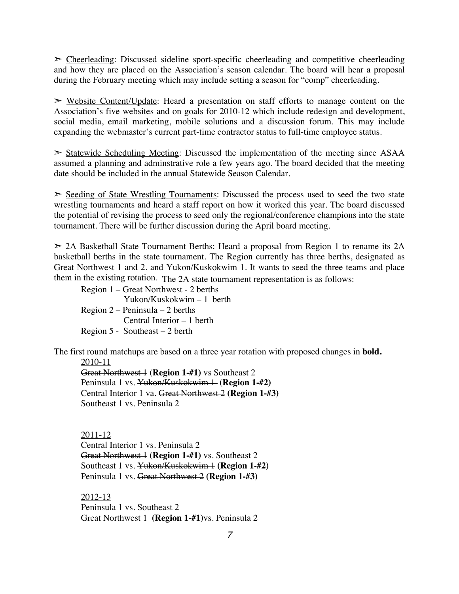$\geq$  Cheerleading: Discussed sideline sport-specific cheerleading and competitive cheerleading and how they are placed on the Association's season calendar. The board will hear a proposal during the February meeting which may include setting a season for "comp" cheerleading.

➣ Website Content/Update: Heard a presentation on staff efforts to manage content on the Association's five websites and on goals for 2010-12 which include redesign and development, social media, email marketing, mobile solutions and a discussion forum. This may include expanding the webmaster's current part-time contractor status to full-time employee status.

 $\geq$  Statewide Scheduling Meeting: Discussed the implementation of the meeting since ASAA assumed a planning and adminstrative role a few years ago. The board decided that the meeting date should be included in the annual Statewide Season Calendar.

 $\geq$  Seeding of State Wrestling Tournaments: Discussed the process used to seed the two state wrestling tournaments and heard a staff report on how it worked this year. The board discussed the potential of revising the process to seed only the regional/conference champions into the state tournament. There will be further discussion during the April board meeting.

 $\geq$  2A Basketball State Tournament Berths: Heard a proposal from Region 1 to rename its 2A basketball berths in the state tournament. The Region currently has three berths, designated as Great Northwest 1 and 2, and Yukon/Kuskokwim 1. It wants to seed the three teams and place them in the existing rotation. The 2A state tournament representation is as follows:

Region 1 – Great Northwest - 2 berths Yukon/Kuskokwim – 1 berth Region 2 – Peninsula – 2 berths Central Interior – 1 berth Region 5 - Southeast – 2 berth

The first round matchups are based on a three year rotation with proposed changes in **bold.**

2010-11

Great Northwest 1 **(Region 1-#1)** vs Southeast 2 Peninsula 1 vs. Yukon/Kuskokwim 1 **(Region 1-#2)** Central Interior 1 va. Great Northwest 2 **(Region 1-#3)** Southeast 1 vs. Peninsula 2

2011-12 Central Interior 1 vs. Peninsula 2 Great Northwest 1 (Region 1-#1) vs. Southeast 2 Southeast 1 vs. Yukon/Kuskokwim 1 **(Region 1-#2)** Peninsula 1 vs. Great Northwest 2 **(Region 1-#3)**

2012-13 Peninsula 1 vs. Southeast 2 Great Northwest 1 **(Region 1-#1)**vs. Peninsula 2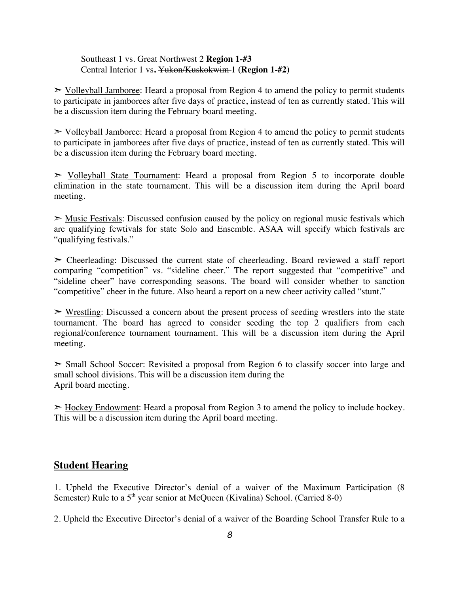#### Southeast 1 vs. Great Northwest 2 **Region 1-#3** Central Interior 1 vs**.** Yukon/Kuskokwim 1 **(Region 1-#2)**

 $\ge$  Volleyball Jamboree: Heard a proposal from Region 4 to amend the policy to permit students to participate in jamborees after five days of practice, instead of ten as currently stated. This will be a discussion item during the February board meeting.

 $\ge$  Volleyball Jamboree: Heard a proposal from Region 4 to amend the policy to permit students to participate in jamborees after five days of practice, instead of ten as currently stated. This will be a discussion item during the February board meeting.

➣ Volleyball State Tournament: Heard a proposal from Region 5 to incorporate double elimination in the state tournament. This will be a discussion item during the April board meeting.

 $\geq$  Music Festivals: Discussed confusion caused by the policy on regional music festivals which are qualifying fewtivals for state Solo and Ensemble. ASAA will specify which festivals are "qualifying festivals."

 $\geq$  Cheerleading: Discussed the current state of cheerleading. Board reviewed a staff report comparing "competition" vs. "sideline cheer." The report suggested that "competitive" and "sideline cheer" have corresponding seasons. The board will consider whether to sanction "competitive" cheer in the future. Also heard a report on a new cheer activity called "stunt."

 $\triangleright$  Wrestling: Discussed a concern about the present process of seeding wrestlers into the state tournament. The board has agreed to consider seeding the top 2 qualifiers from each regional/conference tournament tournament. This will be a discussion item during the April meeting.

 $\geq$  Small School Soccer: Revisited a proposal from Region 6 to classify soccer into large and small school divisions. This will be a discussion item during the April board meeting.

 $\geq$  Hockey Endowment: Heard a proposal from Region 3 to amend the policy to include hockey. This will be a discussion item during the April board meeting.

#### **Student Hearing**

1. Upheld the Executive Director's denial of a waiver of the Maximum Participation (8 Semester) Rule to a  $5<sup>th</sup>$  year senior at McQueen (Kivalina) School. (Carried 8-0)

2. Upheld the Executive Director's denial of a waiver of the Boarding School Transfer Rule to a